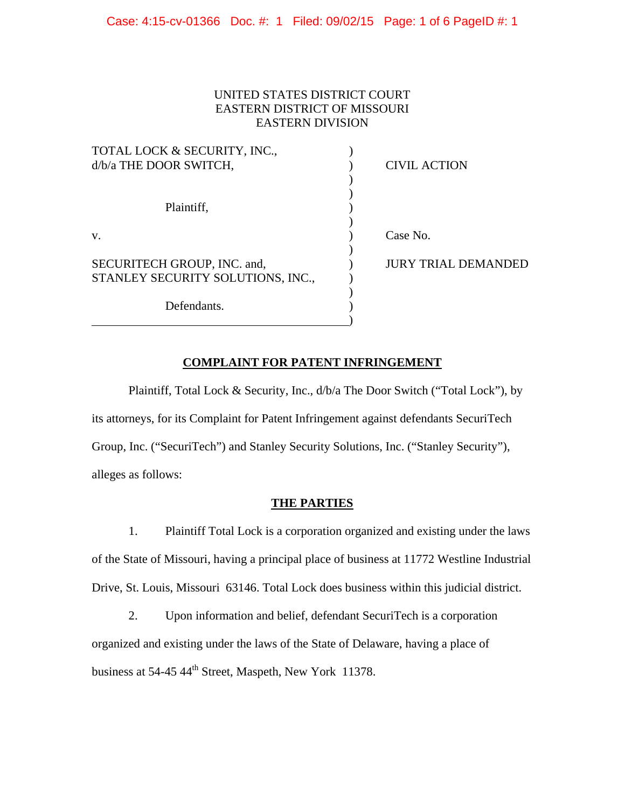# UNITED STATES DISTRICT COURT EASTERN DISTRICT OF MISSOURI EASTERN DIVISION

| TOTAL LOCK & SECURITY, INC.,      |                            |
|-----------------------------------|----------------------------|
| d/b/a THE DOOR SWITCH,            | <b>CIVIL ACTION</b>        |
|                                   |                            |
|                                   |                            |
| Plaintiff,                        |                            |
|                                   |                            |
| V.                                | Case No.                   |
|                                   |                            |
| SECURITECH GROUP, INC. and,       | <b>JURY TRIAL DEMANDED</b> |
| STANLEY SECURITY SOLUTIONS, INC., |                            |
|                                   |                            |
| Defendants.                       |                            |
|                                   |                            |

# **COMPLAINT FOR PATENT INFRINGEMENT**

 Plaintiff, Total Lock & Security, Inc., d/b/a The Door Switch ("Total Lock"), by its attorneys, for its Complaint for Patent Infringement against defendants SecuriTech Group, Inc. ("SecuriTech") and Stanley Security Solutions, Inc. ("Stanley Security"), alleges as follows:

# **THE PARTIES**

1. Plaintiff Total Lock is a corporation organized and existing under the laws of the State of Missouri, having a principal place of business at 11772 Westline Industrial Drive, St. Louis, Missouri 63146. Total Lock does business within this judicial district.

2. Upon information and belief, defendant SecuriTech is a corporation organized and existing under the laws of the State of Delaware, having a place of business at 54-45 44<sup>th</sup> Street, Maspeth, New York 11378.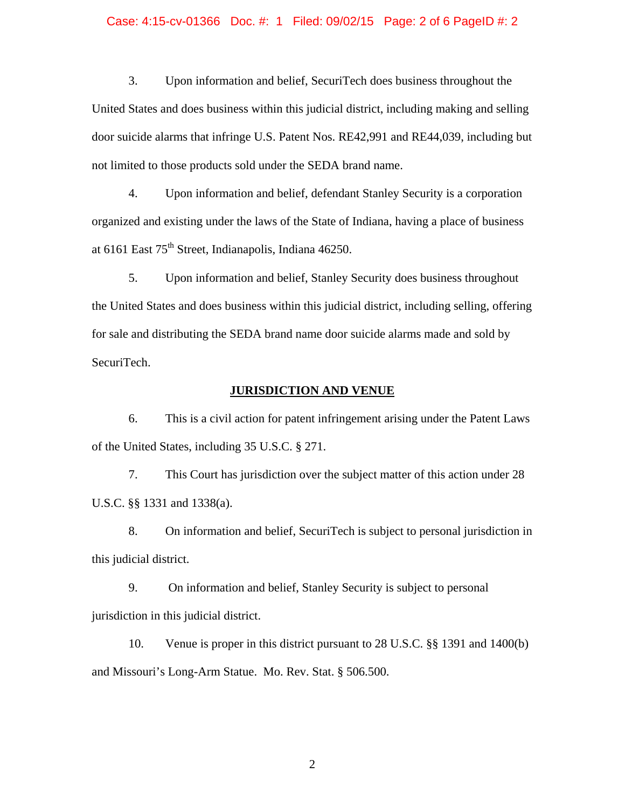## Case: 4:15-cv-01366 Doc. #: 1 Filed: 09/02/15 Page: 2 of 6 PageID #: 2

3. Upon information and belief, SecuriTech does business throughout the United States and does business within this judicial district, including making and selling door suicide alarms that infringe U.S. Patent Nos. RE42,991 and RE44,039, including but not limited to those products sold under the SEDA brand name.

4. Upon information and belief, defendant Stanley Security is a corporation organized and existing under the laws of the State of Indiana, having a place of business at 6161 East  $75<sup>th</sup>$  Street, Indianapolis, Indiana 46250.

5. Upon information and belief, Stanley Security does business throughout the United States and does business within this judicial district, including selling, offering for sale and distributing the SEDA brand name door suicide alarms made and sold by SecuriTech.

### **JURISDICTION AND VENUE**

6. This is a civil action for patent infringement arising under the Patent Laws of the United States, including 35 U.S.C. § 271.

7. This Court has jurisdiction over the subject matter of this action under 28 U.S.C. §§ 1331 and 1338(a).

8. On information and belief, SecuriTech is subject to personal jurisdiction in this judicial district.

9. On information and belief, Stanley Security is subject to personal jurisdiction in this judicial district.

10. Venue is proper in this district pursuant to 28 U.S.C. §§ 1391 and 1400(b) and Missouri's Long-Arm Statue. Mo. Rev. Stat. § 506.500.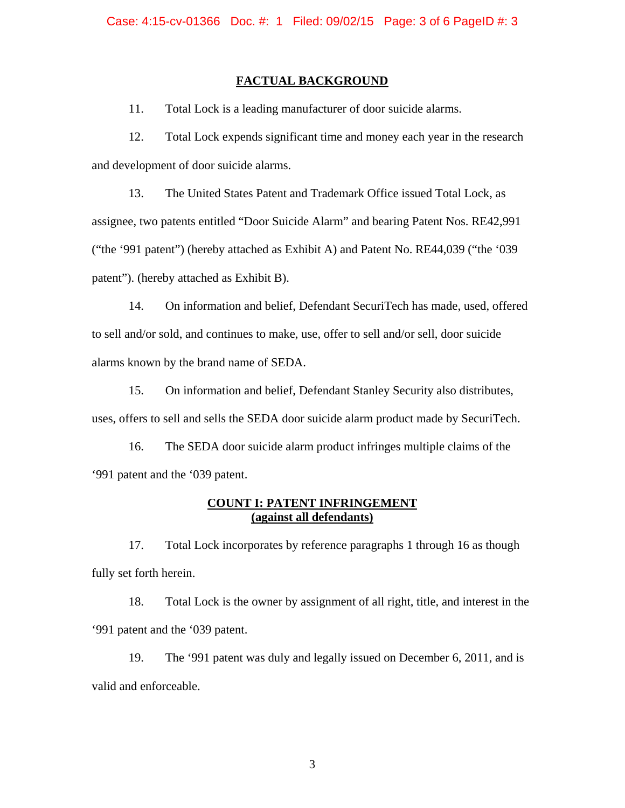### **FACTUAL BACKGROUND**

11. Total Lock is a leading manufacturer of door suicide alarms.

12. Total Lock expends significant time and money each year in the research and development of door suicide alarms.

13. The United States Patent and Trademark Office issued Total Lock, as assignee, two patents entitled "Door Suicide Alarm" and bearing Patent Nos. RE42,991 ("the '991 patent") (hereby attached as Exhibit A) and Patent No. RE44,039 ("the '039 patent"). (hereby attached as Exhibit B).

14. On information and belief, Defendant SecuriTech has made, used, offered to sell and/or sold, and continues to make, use, offer to sell and/or sell, door suicide alarms known by the brand name of SEDA.

15. On information and belief, Defendant Stanley Security also distributes, uses, offers to sell and sells the SEDA door suicide alarm product made by SecuriTech.

16. The SEDA door suicide alarm product infringes multiple claims of the '991 patent and the '039 patent.

## **COUNT I: PATENT INFRINGEMENT (against all defendants)**

17. Total Lock incorporates by reference paragraphs 1 through 16 as though fully set forth herein.

18. Total Lock is the owner by assignment of all right, title, and interest in the '991 patent and the '039 patent.

19. The '991 patent was duly and legally issued on December 6, 2011, and is valid and enforceable.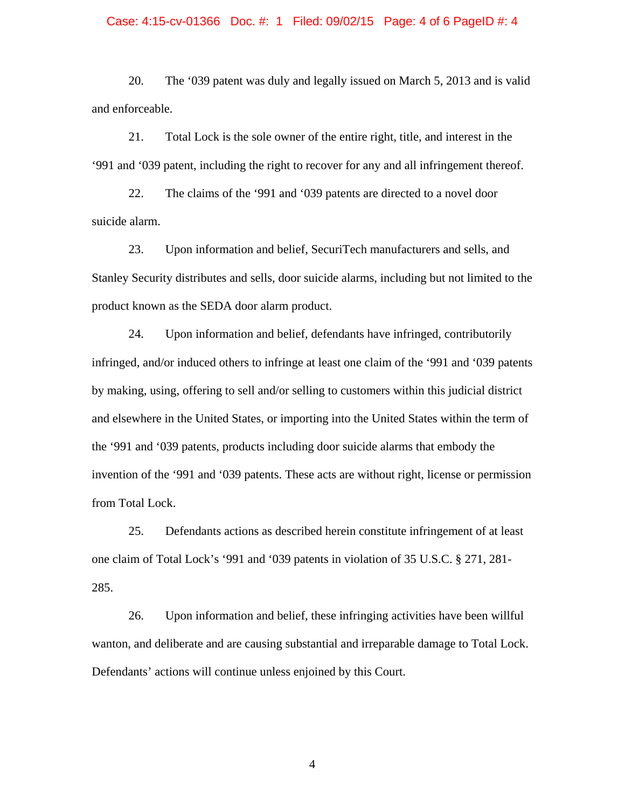#### Case: 4:15-cv-01366 Doc. #: 1 Filed: 09/02/15 Page: 4 of 6 PageID #: 4

20. The '039 patent was duly and legally issued on March 5, 2013 and is valid and enforceable.

21. Total Lock is the sole owner of the entire right, title, and interest in the '991 and '039 patent, including the right to recover for any and all infringement thereof.

22. The claims of the '991 and '039 patents are directed to a novel door suicide alarm.

23. Upon information and belief, SecuriTech manufacturers and sells, and Stanley Security distributes and sells, door suicide alarms, including but not limited to the product known as the SEDA door alarm product.

24. Upon information and belief, defendants have infringed, contributorily infringed, and/or induced others to infringe at least one claim of the '991 and '039 patents by making, using, offering to sell and/or selling to customers within this judicial district and elsewhere in the United States, or importing into the United States within the term of the '991 and '039 patents, products including door suicide alarms that embody the invention of the '991 and '039 patents. These acts are without right, license or permission from Total Lock.

25. Defendants actions as described herein constitute infringement of at least one claim of Total Lock's '991 and '039 patents in violation of 35 U.S.C. § 271, 281- 285.

26. Upon information and belief, these infringing activities have been willful wanton, and deliberate and are causing substantial and irreparable damage to Total Lock. Defendants' actions will continue unless enjoined by this Court.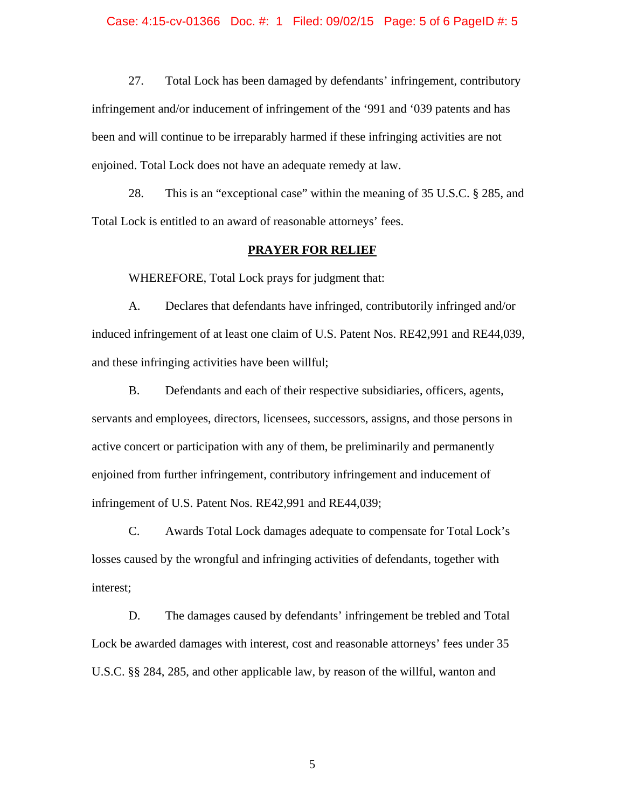27. Total Lock has been damaged by defendants' infringement, contributory infringement and/or inducement of infringement of the '991 and '039 patents and has been and will continue to be irreparably harmed if these infringing activities are not enjoined. Total Lock does not have an adequate remedy at law.

28. This is an "exceptional case" within the meaning of 35 U.S.C. § 285, and Total Lock is entitled to an award of reasonable attorneys' fees.

#### **PRAYER FOR RELIEF**

WHEREFORE, Total Lock prays for judgment that:

A. Declares that defendants have infringed, contributorily infringed and/or induced infringement of at least one claim of U.S. Patent Nos. RE42,991 and RE44,039, and these infringing activities have been willful;

B. Defendants and each of their respective subsidiaries, officers, agents, servants and employees, directors, licensees, successors, assigns, and those persons in active concert or participation with any of them, be preliminarily and permanently enjoined from further infringement, contributory infringement and inducement of infringement of U.S. Patent Nos. RE42,991 and RE44,039;

C. Awards Total Lock damages adequate to compensate for Total Lock's losses caused by the wrongful and infringing activities of defendants, together with interest;

D. The damages caused by defendants' infringement be trebled and Total Lock be awarded damages with interest, cost and reasonable attorneys' fees under 35 U.S.C. §§ 284, 285, and other applicable law, by reason of the willful, wanton and